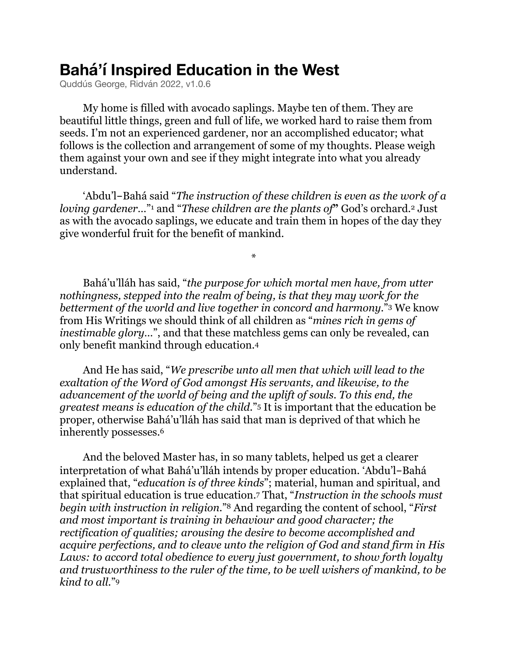# **Bahá'í Inspired Education in the West**

Quddús George, Ridván 2022, v1.0.6

My home is filled with avocado saplings. Maybe ten of them. They are beautiful little things, green and full of life, we worked hard to raise them from seeds. I'm not an experienced gardener, nor an accomplished educator; what follows is the collection and arrangement of some of my thoughts. Please weigh them against your own and see if they might integrate into what you already understand.

<span id="page-0-0"></span>'Abdu'l-Bahá said "*The instruction of these children is even as the work of a lovinggardener[.](#page-7-1)..*" and "*These children are the plants of*" God's orchard.<sup>2</sup> Just as with the avocado saplings, we educate and train them in hopes of the day they give wonderful fruit for the benefit of mankind.

<span id="page-0-4"></span><span id="page-0-3"></span><span id="page-0-2"></span><span id="page-0-1"></span>\*

Bahá'u'lláh has said, "*the purpose for which mortal men have, from utter nothingness, stepped into the realm of being, is that they may work for the bettermentof the world and live together in concord and harmony.*" We know from His Writings we should think of all children as "*mines rich in gems of inestimable glory…*", and that these matchless gems can only be revealed, can only benefit mankind through education[.4](#page-7-3)

And He has said, "*We prescribe unto all men that which will lead to the exaltation of the Word of God amongst His servants, and likewise, to the advancement of the world of being and the uplift of souls. To this end, the greatest means is education of the child.*"<sup>[5](#page-7-4)</sup> It is important that the education be proper, otherwise Bahá'u'lláh has said that man is deprived of that which he inherently possesses.[6](#page-7-5)

<span id="page-0-8"></span><span id="page-0-7"></span><span id="page-0-6"></span><span id="page-0-5"></span>And the beloved Master has, in so many tablets, helped us get a clearer interpretation of what Bahá'u'lláh intends by proper education. 'Abdu'l-Bahá explained that, "*education is of three kinds*"; material, human and spiritual, and that spiritual education is true education. That, "*Instruction in the schools must* <sup>7</sup> *begin with instruction in religion.*["](#page-7-7)<sup>8</sup> And regarding the content of school, "*First and most important is training in behaviour and good character; the rectification of qualities; arousing the desire to become accomplished and acquire perfections, and to cleave unto the religion of God and stand firm in His Laws: to accord total obedience to every just government, to show forth loyalty and trustworthiness to the ruler of the time, to be well wishers of mankind, to be kind to all.*["9](#page-7-8)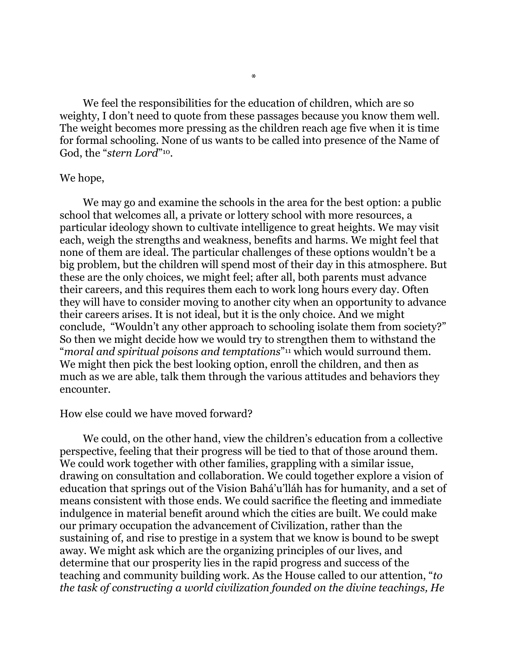We feel the responsibilities for the education of children, which are so weighty, I don't need to quote from these passages because you know them well. The weight becomes more pressing as the children reach age five when it is time for formal schooling. None of us wants to be called into presence of the Name of God, the "stern Lord"<sup>[10](#page-7-9)</sup>.

### <span id="page-1-0"></span>We hope,

We may go and examine the schools in the area for the best option: a public school that welcomes all, a private or lottery school with more resources, a particular ideology shown to cultivate intelligence to great heights. We may visit each, weigh the strengths and weakness, benefits and harms. We might feel that none of them are ideal. The particular challenges of these options wouldn't be a big problem, but the children will spend most of their day in this atmosphere. But these are the only choices, we might feel; after all, both parents must advance their careers, and this requires them each to work long hours every day. Often they will have to consider moving to another city when an opportunity to advance their careers arises. It is not ideal, but it is the only choice. And we might conclude, "Wouldn't any other approach to schooling isolate them from society?" So then we might decide how we would try to strengthen them to withstand the "*moraland spiritual poisons and temptations*"<sup>[11](#page-7-10)</sup> which would surround them. We might then pick the best looking option, enroll the children, and then as much as we are able, talk them through the various attitudes and behaviors they encounter.

#### <span id="page-1-1"></span>How else could we have moved forward?

We could, on the other hand, view the children's education from a collective perspective, feeling that their progress will be tied to that of those around them. We could work together with other families, grappling with a similar issue, drawing on consultation and collaboration. We could together explore a vision of education that springs out of the Vision Bahá'u'lláh has for humanity, and a set of means consistent with those ends. We could sacrifice the fleeting and immediate indulgence in material benefit around which the cities are built. We could make our primary occupation the advancement of Civilization, rather than the sustaining of, and rise to prestige in a system that we know is bound to be swept away. We might ask which are the organizing principles of our lives, and determine that our prosperity lies in the rapid progress and success of the teaching and community building work. As the House called to our attention, "*to the task of constructing a world civilization founded on the divine teachings, He*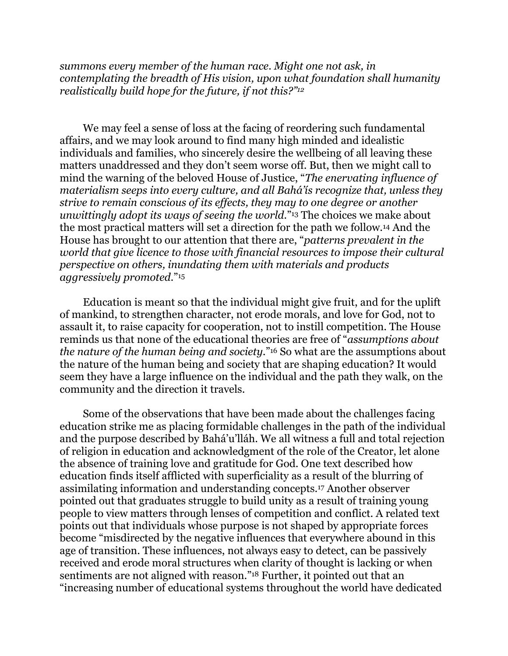<span id="page-2-0"></span>*summons every member of the human race. Might one not ask, in contemplating the breadth of His vision, upon what foundation shall humanity realistically build hope for the future, if not this?["12](#page-7-11)*

<span id="page-2-1"></span>We may feel a sense of loss at the facing of reordering such fundamental affairs, and we may look around to find many high minded and idealistic individuals and families, who sincerely desire the wellbeing of all leaving these matters unaddressed and they don't seem worse off. But, then we might call to mind the warning of the beloved House of Justice, "*The enervating influence of materialism seeps into every culture, and all Bahá'ís recognize that, unless they strive to remain conscious of its effects, they may to one degree or another unwittingly adopt its ways of seeing the world.*"<sup>[13](#page-7-12)</sup> The choices we make about the most practical matters will set a direction for the path we follow.<sup>[14](#page-7-13)</sup> And the House has brought to our attention that there are, "*patterns prevalent in the world that give licence to those with financial resources to impose their cultural perspective on others, inundating them with materials and products aggressively promoted.*"[15](#page-7-14)

<span id="page-2-4"></span><span id="page-2-3"></span><span id="page-2-2"></span>Education is meant so that the individual might give fruit, and for the uplift of mankind, to strengthen character, not erode morals, and love for God, not to assault it, to raise capacity for cooperation, not to instill competition. The House reminds us that none of the educational theories are free of "*assumptions about the nature of the human being and society.*"<sup>[16](#page-7-15)</sup> So what are the assumptions about the nature of the human being and society that are shaping education? It would seem they have a large influence on the individual and the path they walk, on the community and the direction it travels.

<span id="page-2-6"></span><span id="page-2-5"></span>Some of the observations that have been made about the challenges facing education strike me as placing formidable challenges in the path of the individual and the purpose described by Bahá'u'lláh. We all witness a full and total rejection of religion in education and acknowledgment of the role of the Creator, let alone the absence of training love and gratitude for God. One text described how education finds itself afflicted with superficiality as a result of the blurring of assimilating information and understanding concepts.<sup>[17](#page-7-16)</sup> Another observer pointed out that graduates struggle to build unity as a result of training young people to view matters through lenses of competition and conflict. A related text points out that individuals whose purpose is not shaped by appropriate forces become "misdirected by the negative influences that everywhere abound in this age of transition. These influences, not always easy to detect, can be passively received and erode moral structures when clarity of thought is lacking or when sentiments are not aligned with reason.["](#page-7-17)<sup>[18](#page-7-17)</sup> Further, it pointed out that an "increasing number of educational systems throughout the world have dedicated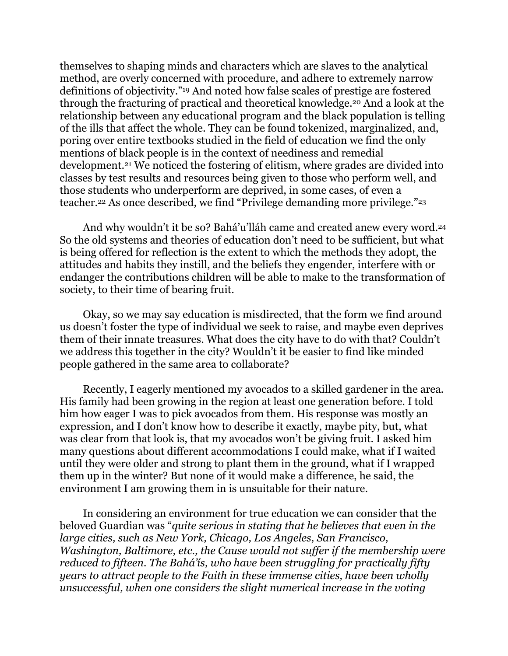<span id="page-3-1"></span><span id="page-3-0"></span>themselves to shaping minds and characters which are slaves to the analytical method, are overly concerned with procedure, and adhere to extremely narrow definitionsof objectivity."<sup>[19](#page-8-0)</sup> And noted how false scales of prestige are fostered through the fracturing of practical and theoretical knowledge.<sup>[20](#page-8-1)</sup> And a look at the relationship between any educational program and the black population is telling of the ills that affect the whole. They can be found tokenized, marginalized, and, poring over entire textbooks studied in the field of education we find the only mentions of black people is in the context of neediness and remedial development.<sup>[21](#page-8-2)</sup> We noticed the fostering of elitism, where grades are divided into classes by test results and resources being given to those who perform well, and those students who underperform are deprived, in some cases, of even a teacher.<sup>22</sup>As once described, we find "Privilege demanding more privilege."<sup>[23](#page-8-4)</sup>

<span id="page-3-5"></span><span id="page-3-4"></span><span id="page-3-3"></span><span id="page-3-2"></span>And why wouldn't it be so? Bahá'u'lláh came and created anew every word[.24](#page-8-5) So the old systems and theories of education don't need to be sufficient, but what is being offered for reflection is the extent to which the methods they adopt, the attitudes and habits they instill, and the beliefs they engender, interfere with or endanger the contributions children will be able to make to the transformation of society, to their time of bearing fruit.

Okay, so we may say education is misdirected, that the form we find around us doesn't foster the type of individual we seek to raise, and maybe even deprives them of their innate treasures. What does the city have to do with that? Couldn't we address this together in the city? Wouldn't it be easier to find like minded people gathered in the same area to collaborate?

Recently, I eagerly mentioned my avocados to a skilled gardener in the area. His family had been growing in the region at least one generation before. I told him how eager I was to pick avocados from them. His response was mostly an expression, and I don't know how to describe it exactly, maybe pity, but, what was clear from that look is, that my avocados won't be giving fruit. I asked him many questions about different accommodations I could make, what if I waited until they were older and strong to plant them in the ground, what if I wrapped them up in the winter? But none of it would make a difference, he said, the environment I am growing them in is unsuitable for their nature.

In considering an environment for true education we can consider that the beloved Guardian was "*quite serious in stating that he believes that even in the large cities, such as New York, Chicago, Los Angeles, San Francisco, Washington, Baltimore, etc., the Cause would not suffer if the membership were reduced to fifteen. The Bahá'ís, who have been struggling for practically fifty years to attract people to the Faith in these immense cities, have been wholly unsuccessful, when one considers the slight numerical increase in the voting*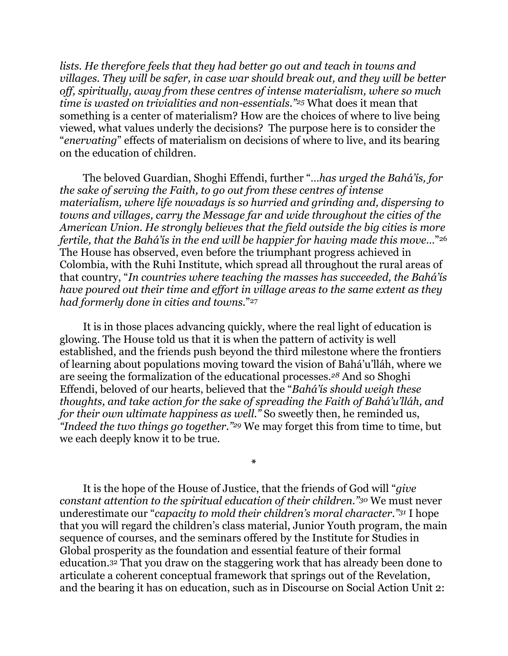<span id="page-4-0"></span>*lists. He therefore feels that they had better go out and teach in towns and villages. They will be safer, in case war should break out, and they will be better off, spiritually, away from these centres of intense materialism, where so much time is wasted on trivialities and non-essentials.*"<sup>[25](#page-8-6)</sup> What does it mean that something is a center of materialism? How are the choices of where to live being viewed, what values underly the decisions? The purpose here is to consider the "*enervating*" effects of materialism on decisions of where to live, and its bearing on the education of children.

The beloved Guardian, Shoghi Effendi, further "*…has urged the Bahá'ís, for the sake of serving the Faith, to go out from these centres of intense materialism, where life nowadays is so hurried and grinding and, dispersing to towns and villages, carry the Message far and wide throughout the cities of the American Union. He strongly believes that the field outside the big cities is more fertile, that the Bahá'ís in the end will be happier for having made this move…*["26](#page-8-7) The House has observed, even before the triumphant progress achieved in Colombia, with the Ruhi Institute, which spread all throughout the rural areas of that country, "*In countries where teaching the masses has succeeded, the Bahá'ís have poured out their time and effort in village areas to the same extent as they had formerly done in cities and towns.*["27](#page-8-8)

It is in those places advancing quickly, where the real light of education is glowing. The House told us that it is when the pattern of activity is well established, and the friends push beyond the third milestone where the frontiers of learning about populations moving toward the vision of Bahá'u'lláh, where we are seeing the formalization of the educational processes.<sup>[28](#page-8-9)</sup> And so Shoghi Effendi, beloved of our hearts, believed that the "*Bahá'ís should weigh these thoughts, and take action for the sake of spreading the Faith of Bahá'u'lláh, and for their own ultimate happiness as well.*" So sweetly then, he reminded us, *"Indeed the two things go together."* <sup>[29](#page-8-10)</sup> We may forget this from time to time, but we each deeply know it to be true.

<span id="page-4-7"></span>It is the hope of the House of Justice, that the friends of God will "*give constant attention to the spiritual education of their children." [30](#page-8-11) We must never* underestimate our "*capacity to mold their children's moral character.*"<sup>[31](#page-8-12)</sup> I hope that you will regard the children's class material, Junior Youth program, the main sequence of courses, and the seminars offered by the Institute for Studies in Global prosperity as the foundation and essential feature of their formal education.<sup>[32](#page-8-13)</sup> That you draw on the staggering work that has already been done to articulate a coherent conceptual framework that springs out of the Revelation, and the bearing it has on education, such as in Discourse on Social Action Unit 2:

<span id="page-4-6"></span><span id="page-4-5"></span><span id="page-4-4"></span><span id="page-4-3"></span><span id="page-4-2"></span><span id="page-4-1"></span>**\***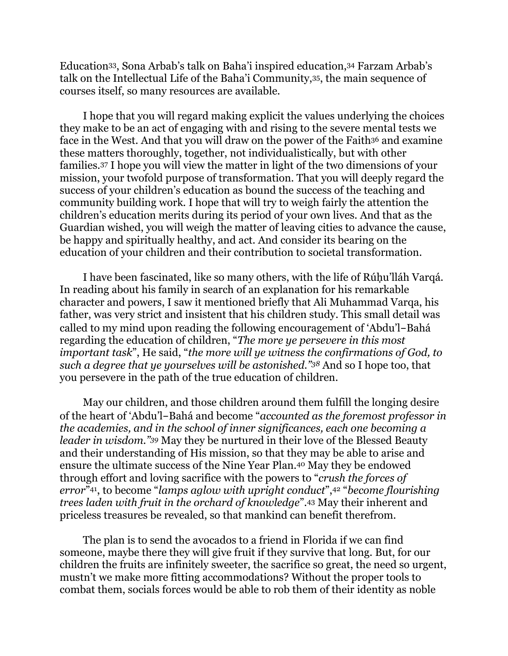<span id="page-5-2"></span><span id="page-5-1"></span><span id="page-5-0"></span>Education<sup>33</sup>[,](#page-8-15) Sona Arbab's talk on Baha'i inspired education, <sup>34</sup> Farzam Arbab's talk on the Intellectual Life of the Baha'i Community[,](#page-9-0) [35](#page-9-0), the main sequence of courses itself, so many resources are available.

<span id="page-5-4"></span><span id="page-5-3"></span>I hope that you will regard making explicit the values underlying the choices they make to be an act of engaging with and rising to the severe mental tests we face in the West. And that you will draw on the power of the Faith<sup>[36](#page-9-1)</sup> and examine these matters thoroughly, together, not individualistically, but with other families.<sup>[37](#page-9-2)</sup> I hope you will view the matter in light of the two dimensions of your mission, your twofold purpose of transformation. That you will deeply regard the success of your children's education as bound the success of the teaching and community building work. I hope that will try to weigh fairly the attention the children's education merits during its period of your own lives. And that as the Guardian wished, you will weigh the matter of leaving cities to advance the cause, be happy and spiritually healthy, and act. And consider its bearing on the education of your children and their contribution to societal transformation.

I have been fascinated, like so many others, with the life of Rúḥu'lláh Varqá. In reading about his family in search of an explanation for his remarkable character and powers, I saw it mentioned briefly that Ali Muhammad Varqa, his father, was very strict and insistent that his children study. This small detail was called to my mind upon reading the following encouragement of 'Abdu'l-Bahá regarding the education of children, "*The more ye persevere in this most important task*", He said, "*the more will ye witness the confirmations of God, to such a degree that ye yourselves will be astonished.*"<sup>[38](#page-9-3)</sup> And so I hope too, that you persevere in the path of the true education of children.

<span id="page-5-7"></span><span id="page-5-6"></span><span id="page-5-5"></span>May our children, and those children around them fulfill the longing desire of the heart of 'Abdu'l-Bahá and become "*accounted as the foremost professor in the academies, and in the school of inner significances, each one becoming a leader in wisdom.*"<sup>[39](#page-9-4)</sup> May they be nurtured in their love of the Blessed Beauty and their understanding of His mission, so that they may be able to arise and ensurethe ultimate success of the Nine Year Plan.<sup>[40](#page-9-5)</sup> May they be endowed through effort and loving sacrifice with the powers to "*crush the forces of error*"<sup>41</sup>,to become "*lamps aglow with upright conduct*",<sup>42</sup> "*become flourishing trees laden with fruit in the orchard of knowledge*".<sup>[43](#page-9-8)</sup> May their inherent and priceless treasures be revealed, so that mankind can benefit therefrom.

<span id="page-5-10"></span><span id="page-5-9"></span><span id="page-5-8"></span>The plan is to send the avocados to a friend in Florida if we can find someone, maybe there they will give fruit if they survive that long. But, for our children the fruits are infinitely sweeter, the sacrifice so great, the need so urgent, mustn't we make more fitting accommodations? Without the proper tools to combat them, socials forces would be able to rob them of their identity as noble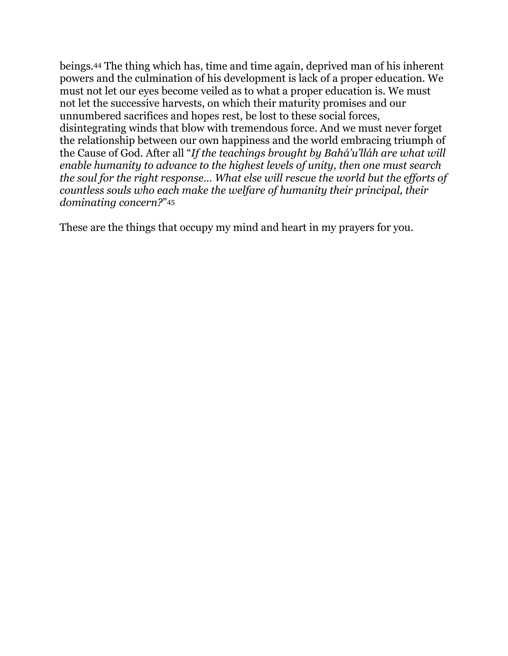<span id="page-6-0"></span>beings.[44](#page-9-9) The thing which has, time and time again, deprived man of his inherent powers and the culmination of his development is lack of a proper education. We must not let our eyes become veiled as to what a proper education is. We must not let the successive harvests, on which their maturity promises and our unnumbered sacrifices and hopes rest, be lost to these social forces, disintegrating winds that blow with tremendous force. And we must never forget the relationship between our own happiness and the world embracing triumph of the Cause of God. After all "*If the teachings brought by Bahá'u'lláh are what will enable humanity to advance to the highest levels of unity, then one must search the soul for the right response… What else will rescue the world but the efforts of countless souls who each make the welfare of humanity their principal, their dominating concern?*["45](#page-9-10)

<span id="page-6-1"></span>These are the things that occupy my mind and heart in my prayers for you.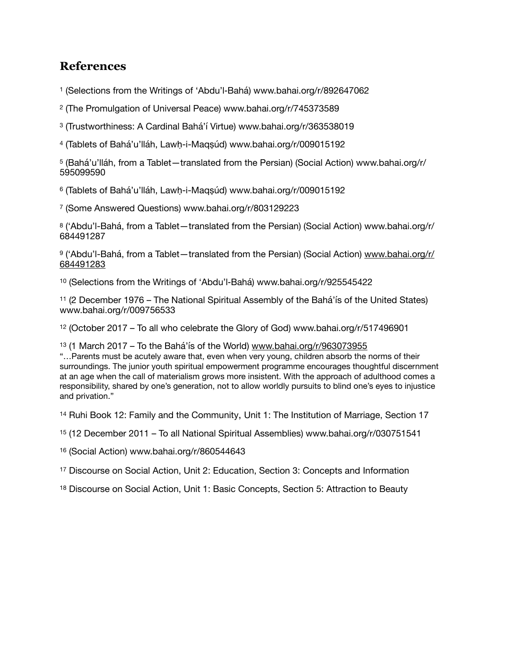## **References**

<span id="page-7-0"></span><sup>[1](#page-0-0)</sup> (Selections from the Writings of 'Abdu'l-Bahá) www.bahai.org/r/892647062

<span id="page-7-1"></span>(The Promulgation of Universal Peace) www.bahai.org/r/745373589

<span id="page-7-2"></span>(Trustworthiness: A Cardinal Bahá'í Virtue) www.bahai.org/r/363538019

<span id="page-7-3"></span>(Tablets of Bahá'u'lláh, Lawḥ-i-Maqṣúd) www.bahai.org/r/009015192

<span id="page-7-4"></span> (Bahá'u'lláh, from a Tablet—translated from the Persian) (Social Action) www.bahai.org/r/ 

<span id="page-7-5"></span>(Tablets of Bahá'u'lláh, Lawḥ-i-Maqṣúd) www.bahai.org/r/009015192

<span id="page-7-6"></span>(Some Answered Questions) www.bahai.org/r/803129223

<span id="page-7-7"></span><sup>[8](#page-0-7)</sup> ('Abdu'l-Bahá, from a Tablet—translated from the Persian) (Social Action) www.bahai.org/r/ 

<span id="page-7-8"></span>9 ('Abdu'l-Bahá, from a Tablet-translated from the Persian) (Social Action) [www.bahai.org/r/](http://www.bahai.org/r/684491283) 

<span id="page-7-9"></span>(Selections from the Writings of 'Abdu'l‑Bahá) www.bahai.org/r/925545422

<span id="page-7-10"></span> (2 December 1976 – The National Spiritual Assembly of the Bahá'ís of the United States) www.bahai.org/r/009756533

<span id="page-7-11"></span>(October 2017 – To all who celebrate the Glory of God) www.bahai.org/r/517496901

<span id="page-7-12"></span>(1 March 2017 – To the Bahá'ís of the World) [www.bahai.org/r/963073955](http://www.bahai.org/r/963073955)

"…Parents must be acutely aware that, even when very young, children absorb the norms of their surroundings. The junior youth spiritual empowerment programme encourages thoughtful discernment at an age when the call of materialism grows more insistent. With the approach of adulthood comes a responsibility, shared by one's generation, not to allow worldly pursuits to blind one's eyes to injustice and privation."

<span id="page-7-13"></span>Ruhi Book 12: Family and the Community, Unit 1: The Institution of Marriage, Section 17

<span id="page-7-14"></span>(12 December 2011 – To all National Spiritual Assemblies) www.bahai.org/r/030751541

<span id="page-7-15"></span>(Social Action) www.bahai.org/r/860544643

<span id="page-7-16"></span>Discourse on Social Action, Unit 2: Education, Section 3: Concepts and Information

<span id="page-7-17"></span>Discourse on Social Action, Unit 1: Basic Concepts, Section 5: Attraction to Beauty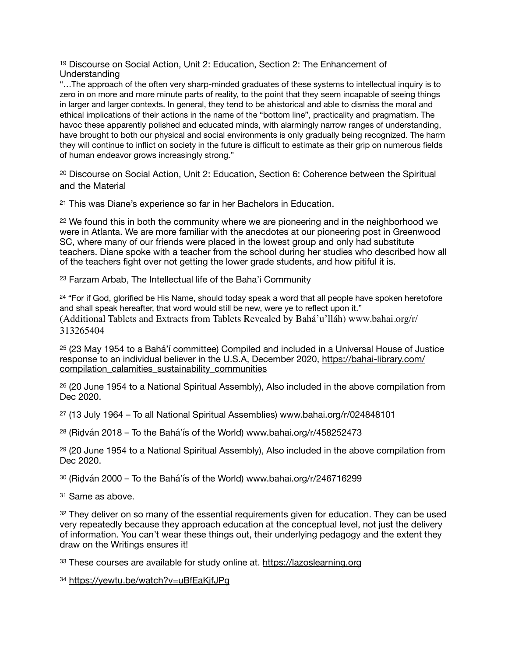<span id="page-8-0"></span> $19$  Discourse on Social Action, Unit 2: Education, Section 2: The Enhancement of Understanding

"…The approach of the often very sharp-minded graduates of these systems to intellectual inquiry is to zero in on more and more minute parts of reality, to the point that they seem incapable of seeing things in larger and larger contexts. In general, they tend to be ahistorical and able to dismiss the moral and ethical implications of their actions in the name of the "bottom line", practicality and pragmatism. The havoc these apparently polished and educated minds, with alarmingly narrow ranges of understanding, have brought to both our physical and social environments is only gradually being recognized. The harm they will continue to inflict on society in the future is difficult to estimate as their grip on numerous fields of human endeavor grows increasingly strong."

<span id="page-8-1"></span><sup>[20](#page-3-1)</sup> Discourse on Social Action, Unit 2: Education, Section 6: Coherence between the Spiritual and the Material

<span id="page-8-2"></span><sup>[21](#page-3-2)</sup> This was Diane's experience so far in her Bachelors in Education.

<span id="page-8-3"></span> $22$  We found this in both the community where we are pioneering and in the neighborhood we were in Atlanta. We are more familiar with the anecdotes at our pioneering post in Greenwood SC, where many of our friends were placed in the lowest group and only had substitute teachers. Diane spoke with a teacher from the school during her studies who described how all of the teachers fight over not getting the lower grade students, and how pitiful it is.

<span id="page-8-4"></span><sup>[23](#page-3-4)</sup> Farzam Arbab, The Intellectual life of the Baha'i Community

<span id="page-8-5"></span><sup>[24](#page-3-5)</sup> "For if God, glorified be His Name, should today speak a word that all people have spoken heretofore and shall speak hereafter, that word would still be new, were ye to reflect upon it." (Additional Tablets and Extracts from Tablets Revealed by Bahá'u'lláh) www.bahai.org/r/ 313265404

<span id="page-8-6"></span> $25$  (23 May 1954 to a Bahá'í committee) Compiled and included in a Universal House of Justice response to an individual believer in the U.S.A, December 2020, [https://bahai-library.com/](https://bahai-library.com/compilation_calamities_sustainability_communities) compilation calamities sustainability communities

<span id="page-8-7"></span><sup>[26](#page-4-1)</sup> (20 June 1954 to a National Spiritual Assembly), Also included in the above compilation from Dec 2020.

<span id="page-8-8"></span>[27](#page-4-2) (13 July 1964 – To all National Spiritual Assemblies) www.bahai.org/r/024848101

<span id="page-8-9"></span>[28](#page-4-3) (Riḍván 2018 – To the Bahá'ís of the World) www.bahai.org/r/458252473

<span id="page-8-10"></span><sup>[29](#page-4-4)</sup> (20 June 1954 to a National Spiritual Assembly), Also included in the above compilation from Dec 2020.

<span id="page-8-11"></span>[30](#page-4-5) (Riḍván 2000 – To the Bahá'ís of the World) www.bahai.org/r/246716299

<span id="page-8-12"></span>[31](#page-4-6) Same as above.

<span id="page-8-13"></span> $32$  They deliver on so many of the essential requirements given for education. They can be used very repeatedly because they approach education at the conceptual level, not just the delivery of information. You can't wear these things out, their underlying pedagogy and the extent they draw on the Writings ensures it!

<span id="page-8-14"></span>[33](#page-5-0) These courses are available for study online at. <https://lazoslearning.org>

<span id="page-8-15"></span>[34](#page-5-1) <https://yewtu.be/watch?v=uBfEaKjfJPg>